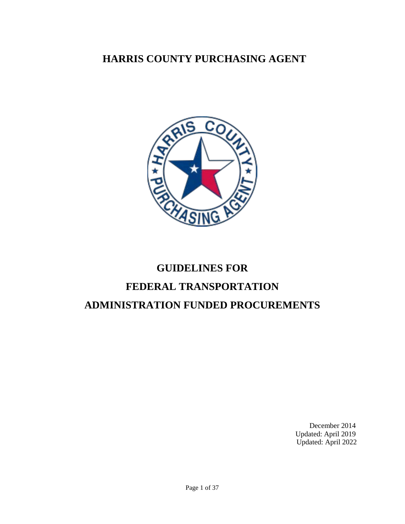### **HARRIS COUNTY PURCHASING AGENT**



# **GUIDELINES FOR FEDERAL TRANSPORTATION ADMINISTRATION FUNDED PROCUREMENTS**

December 2014 Updated: April 2019 Updated: April 2022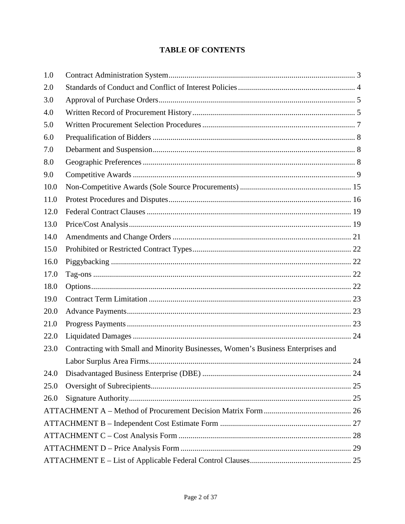#### **TABLE OF CONTENTS**

| 1.0  |                                                                                  |  |
|------|----------------------------------------------------------------------------------|--|
| 2.0  |                                                                                  |  |
| 3.0  |                                                                                  |  |
| 4.0  |                                                                                  |  |
| 5.0  |                                                                                  |  |
| 6.0  |                                                                                  |  |
| 7.0  |                                                                                  |  |
| 8.0  |                                                                                  |  |
| 9.0  |                                                                                  |  |
| 10.0 |                                                                                  |  |
| 11.0 |                                                                                  |  |
| 12.0 |                                                                                  |  |
| 13.0 |                                                                                  |  |
| 14.0 |                                                                                  |  |
| 15.0 |                                                                                  |  |
| 16.0 |                                                                                  |  |
| 17.0 |                                                                                  |  |
| 18.0 |                                                                                  |  |
| 19.0 |                                                                                  |  |
| 20.0 |                                                                                  |  |
| 21.0 |                                                                                  |  |
| 22.0 |                                                                                  |  |
| 23.0 | Contracting with Small and Minority Businesses, Women's Business Enterprises and |  |
|      |                                                                                  |  |
| 24.0 |                                                                                  |  |
| 25.0 |                                                                                  |  |
| 26.0 |                                                                                  |  |
|      |                                                                                  |  |
|      |                                                                                  |  |
|      |                                                                                  |  |
|      |                                                                                  |  |
|      |                                                                                  |  |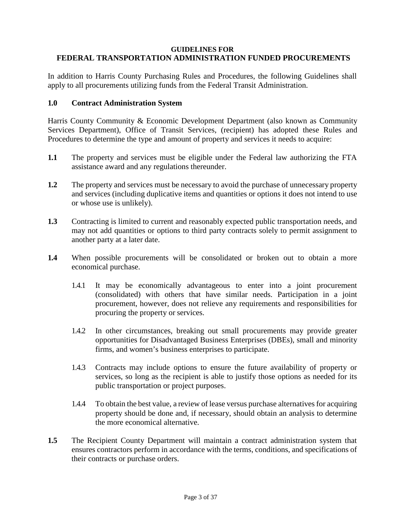#### **GUIDELINES FOR FEDERAL TRANSPORTATION ADMINISTRATION FUNDED PROCUREMENTS**

In addition to Harris County Purchasing Rules and Procedures, the following Guidelines shall apply to all procurements utilizing funds from the Federal Transit Administration.

#### <span id="page-2-0"></span>**1.0 Contract Administration System**

Harris County Community & Economic Development Department (also known as Community Services Department), Office of Transit Services, (recipient) has adopted these Rules and Procedures to determine the type and amount of property and services it needs to acquire:

- **1.1** The property and services must be eligible under the Federal law authorizing the FTA assistance award and any regulations thereunder.
- **1.2** The property and services must be necessary to avoid the purchase of unnecessary property and services (including duplicative items and quantities or options it does not intend to use or whose use is unlikely).
- **1.3** Contracting is limited to current and reasonably expected public transportation needs, and may not add quantities or options to third party contracts solely to permit assignment to another party at a later date.
- **1.4** When possible procurements will be consolidated or broken out to obtain a more economical purchase.
	- 1.4.1 It may be economically advantageous to enter into a joint procurement (consolidated) with others that have similar needs. Participation in a joint procurement, however, does not relieve any requirements and responsibilities for procuring the property or services.
	- 1.4.2 In other circumstances, breaking out small procurements may provide greater opportunities for Disadvantaged Business Enterprises (DBEs), small and minority firms, and women's business enterprises to participate.
	- 1.4.3 Contracts may include options to ensure the future availability of property or services, so long as the recipient is able to justify those options as needed for its public transportation or project purposes.
	- 1.4.4 To obtain the best value, a review of lease versus purchase alternatives for acquiring property should be done and, if necessary, should obtain an analysis to determine the more economical alternative.
- **1.5** The Recipient County Department will maintain a contract administration system that ensures contractors perform in accordance with the terms, conditions, and specifications of their contracts or purchase orders.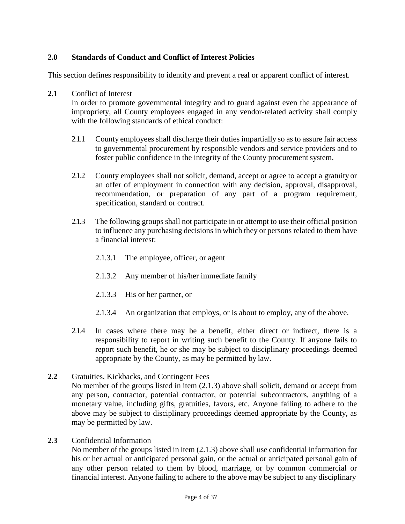#### <span id="page-3-0"></span>**2.0 Standards of Conduct and Conflict of Interest Policies**

This section defines responsibility to identify and prevent a real or apparent conflict of interest.

**2.1** Conflict of Interest

In order to promote governmental integrity and to guard against even the appearance of impropriety, all County employees engaged in any vendor-related activity shall comply with the following standards of ethical conduct:

- 2.1.1 County employees shall discharge their duties impartially so as to assure fair access to governmental procurement by responsible vendors and service providers and to foster public confidence in the integrity of the County procurement system.
- 2.1.2 County employees shall not solicit, demand, accept or agree to accept a gratuity or an offer of employment in connection with any decision, approval, disapproval, recommendation, or preparation of any part of a program requirement, specification, standard or contract.
- 2.1.3 The following groups shall not participate in or attempt to use their official position to influence any purchasing decisions in which they or persons related to them have a financial interest:
	- 2.1.3.1 The employee, officer, or agent
	- 2.1.3.2 Any member of his/her immediate family
	- 2.1.3.3 His or her partner, or
	- 2.1.3.4 An organization that employs, or is about to employ, any of the above.
- 2.1.4 In cases where there may be a benefit, either direct or indirect, there is a responsibility to report in writing such benefit to the County. If anyone fails to report such benefit, he or she may be subject to disciplinary proceedings deemed appropriate by the County, as may be permitted by law.
- **2.2** Gratuities, Kickbacks, and Contingent Fees No member of the groups listed in item (2.1.3) above shall solicit, demand or accept from any person, contractor, potential contractor, or potential subcontractors, anything of a monetary value, including gifts, gratuities, favors, etc. Anyone failing to adhere to the above may be subject to disciplinary proceedings deemed appropriate by the County, as may be permitted by law.
- **2.3** Confidential Information

No member of the groups listed in item (2.1.3) above shall use confidential information for his or her actual or anticipated personal gain, or the actual or anticipated personal gain of any other person related to them by blood, marriage, or by common commercial or financial interest. Anyone failing to adhere to the above may be subject to any disciplinary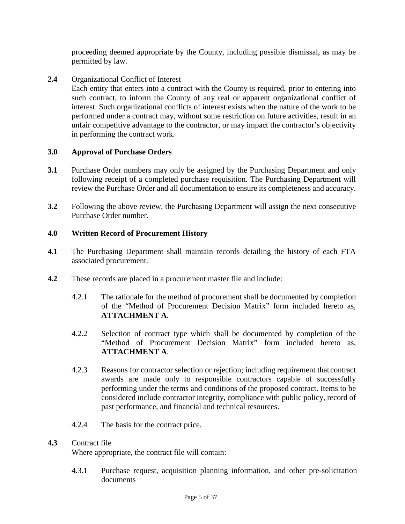proceeding deemed appropriate by the County, including possible dismissal, as may be permitted by law.

**2.4** Organizational Conflict of Interest

Each entity that enters into a contract with the County is required, prior to entering into such contract, to inform the County of any real or apparent organizational conflict of interest. Such organizational conflicts of interest exists when the nature of the work to be performed under a contract may, without some restriction on future activities, result in an unfair competitive advantage to the contractor, or may impact the contractor's objectivity in performing the contract work.

#### <span id="page-4-0"></span>**3.0 Approval of Purchase Orders**

- **3.1** Purchase Order numbers may only be assigned by the Purchasing Department and only following receipt of a completed purchase requisition. The Purchasing Department will review the Purchase Order and all documentation to ensure its completeness and accuracy.
- **3.2** Following the above review, the Purchasing Department will assign the next consecutive Purchase Order number.

#### <span id="page-4-1"></span>**4.0 Written Record of Procurement History**

- **4.1** The Purchasing Department shall maintain records detailing the history of each FTA associated procurement.
- **4.2** These records are placed in a procurement master file and include:
	- 4.2.1 The rationale for the method of procurement shall be documented by completion of the "Method of Procurement Decision Matrix" form included hereto as, **ATTACHMENT A**.
	- 4.2.2 Selection of contract type which shall be documented by completion of the "Method of Procurement Decision Matrix" form included hereto as, **ATTACHMENT A**.
	- 4.2.3 Reasons for contractor selection or rejection; including requirement that contract awards are made only to responsible contractors capable of successfully performing under the terms and conditions of the proposed contract. Items to be considered include contractor integrity, compliance with public policy, record of past performance, and financial and technical resources.
	- 4.2.4 The basis for the contract price.

#### **4.3** Contract file

Where appropriate, the contract file will contain:

4.3.1 Purchase request, acquisition planning information, and other pre-solicitation documents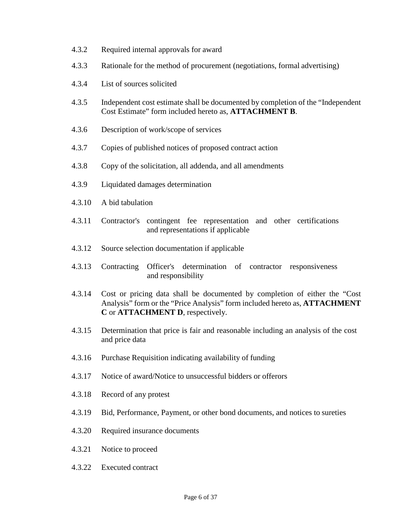- 4.3.2 Required internal approvals for award
- 4.3.3 Rationale for the method of procurement (negotiations, formal advertising)
- 4.3.4 List of sources solicited
- 4.3.5 Independent cost estimate shall be documented by completion of the "Independent Cost Estimate" form included hereto as, **ATTACHMENT B**.
- 4.3.6 Description of work/scope of services
- 4.3.7 Copies of published notices of proposed contract action
- 4.3.8 Copy of the solicitation, all addenda, and all amendments
- 4.3.9 Liquidated damages determination
- 4.3.10 A bid tabulation
- 4.3.11 Contractor's contingent fee representation and other certifications and representations if applicable
- 4.3.12 Source selection documentation if applicable
- 4.3.13 Contracting Officer's determination of contractor responsiveness and responsibility
- 4.3.14 Cost or pricing data shall be documented by completion of either the "Cost Analysis" form or the "Price Analysis" form included hereto as, **ATTACHMENT C** or **ATTACHMENT D**, respectively.
- 4.3.15 Determination that price is fair and reasonable including an analysis of the cost and price data
- 4.3.16 Purchase Requisition indicating availability of funding
- 4.3.17 Notice of award/Notice to unsuccessful bidders or offerors
- 4.3.18 Record of any protest
- 4.3.19 Bid, Performance, Payment, or other bond documents, and notices to sureties
- 4.3.20 Required insurance documents
- 4.3.21 Notice to proceed
- 4.3.22 Executed contract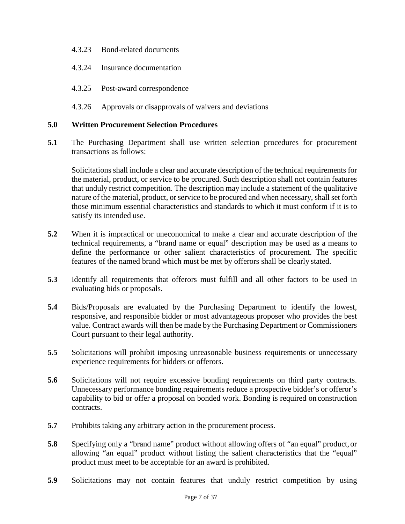- 4.3.23 Bond-related documents
- 4.3.24 Insurance documentation
- 4.3.25 Post-award correspondence
- 4.3.26 Approvals or disapprovals of waivers and deviations

#### <span id="page-6-0"></span>**5.0 Written Procurement Selection Procedures**

**5.1** The Purchasing Department shall use written selection procedures for procurement transactions as follows:

Solicitations shall include a clear and accurate description of the technical requirements for the material, product, or service to be procured. Such description shall not contain features that unduly restrict competition. The description may include a statement of the qualitative nature of the material, product, or service to be procured and when necessary, shall set forth those minimum essential characteristics and standards to which it must conform if it is to satisfy its intended use.

- **5.2** When it is impractical or uneconomical to make a clear and accurate description of the technical requirements, a "brand name or equal" description may be used as a means to define the performance or other salient characteristics of procurement. The specific features of the named brand which must be met by offerors shall be clearly stated.
- **5.3** Identify all requirements that offerors must fulfill and all other factors to be used in evaluating bids or proposals.
- **5.4** Bids/Proposals are evaluated by the Purchasing Department to identify the lowest, responsive, and responsible bidder or most advantageous proposer who provides the best value. Contract awards will then be made by the Purchasing Department or Commissioners Court pursuant to their legal authority.
- **5.5** Solicitations will prohibit imposing unreasonable business requirements or unnecessary experience requirements for bidders or offerors.
- **5.6** Solicitations will not require excessive bonding requirements on third party contracts. Unnecessary performance bonding requirements reduce a prospective bidder's or offeror's capability to bid or offer a proposal on bonded work. Bonding is required on construction contracts.
- **5.7** Prohibits taking any arbitrary action in the procurement process.
- **5.8** Specifying only a "brand name" product without allowing offers of "an equal" product, or allowing "an equal" product without listing the salient characteristics that the "equal" product must meet to be acceptable for an award is prohibited.
- **5.9** Solicitations may not contain features that unduly restrict competition by using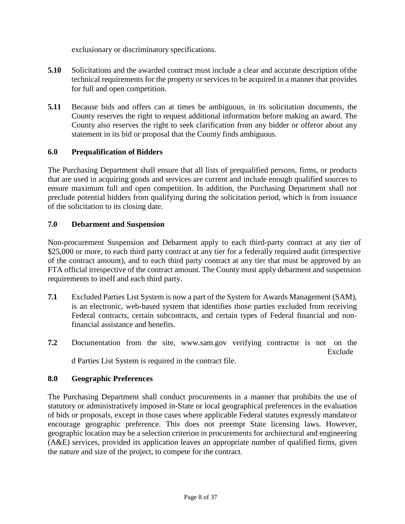exclusionary or discriminatory specifications.

- **5.10** Solicitations and the awarded contract must include a clear and accurate description ofthe technical requirements for the property or services to be acquired in a manner that provides for full and open competition.
- **5.11** Because bids and offers can at times be ambiguous, in its solicitation documents, the County reserves the right to request additional information before making an award. The County also reserves the right to seek clarification from any bidder or offeror about any statement in its bid or proposal that the County finds ambiguous.

#### <span id="page-7-0"></span>**6.0 Prequalification of Bidders**

The Purchasing Department shall ensure that all lists of prequalified persons, firms, or products that are used in acquiring goods and services are current and include enough qualified sources to ensure maximum full and open competition. In addition, the Purchasing Department shall not preclude potential bidders from qualifying during the solicitation period, which is from issuance of the solicitation to its closing date.

#### <span id="page-7-1"></span>**7.0 Debarment and Suspension**

Non-procurement Suspension and Debarment apply to each third-party contract at any tier of \$25,000 or more, to each third party contract at any tier for a federally required audit (irrespective of the contract amount), and to each third party contract at any tier that must be approved by an FTA official irrespective of the contract amount. The County must apply debarment and suspension requirements to itself and each third party.

- **7.1** Excluded Parties List System is now a part of the System for Awards Management (SAM), is an electronic, web-based system that identifies those parties excluded from receiving Federal contracts, certain subcontracts, and certain types of Federal financial and nonfinancial assistance and benefits.
- **7.2** Documentation from the site, [www.sam.gov v](http://www.sam.gov/)erifying contractor is not on the Exclude d Parties List System is required in the contract file.

#### <span id="page-7-2"></span>**8.0 Geographic Preferences**

The Purchasing Department shall conduct procurements in a manner that prohibits the use of statutory or administratively imposed in-State or local geographical preferences in the evaluation of bids or proposals, except in those cases where applicable Federal statutes expressly mandateor encourage geographic preference. This does not preempt State licensing laws. However, geographic location may be a selection criterion in procurements for architectural and engineering (A&E) services, provided its application leaves an appropriate number of qualified firms, given the nature and size of the project, to compete for the contract.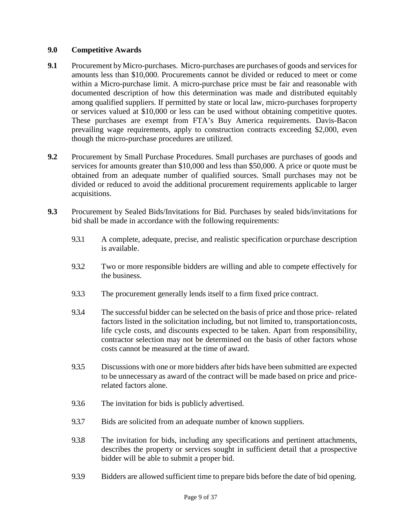#### <span id="page-8-0"></span>**9.0 Competitive Awards**

- **9.1** Procurement by Micro-purchases. Micro-purchases are purchases of goods and services for amounts less than \$10,000. Procurements cannot be divided or reduced to meet or come within a Micro-purchase limit. A micro-purchase price must be fair and reasonable with documented description of how this determination was made and distributed equitably among qualified suppliers. If permitted by state or local law, micro-purchases forproperty or services valued at \$10,000 or less can be used without obtaining competitive quotes. These purchases are exempt from FTA's Buy America requirements. Davis-Bacon prevailing wage requirements, apply to construction contracts exceeding \$2,000, even though the micro-purchase procedures are utilized.
- **9.2** Procurement by Small Purchase Procedures. Small purchases are purchases of goods and services for amounts greater than \$10,000 and less than \$50,000. A price or quote must be obtained from an adequate number of qualified sources. Small purchases may not be divided or reduced to avoid the additional procurement requirements applicable to larger acquisitions.
- **9.3** Procurement by Sealed Bids/Invitations for Bid. Purchases by sealed bids/invitations for bid shall be made in accordance with the following requirements:
	- 9.3.1 A complete, adequate, precise, and realistic specification orpurchase description is available.
	- 9.3.2 Two or more responsible bidders are willing and able to compete effectively for the business.
	- 9.3.3 The procurement generally lends itself to a firm fixed price contract.
	- 9.3.4 The successful bidder can be selected on the basis of price and those price- related factors listed in the solicitation including, but not limited to, transportationcosts, life cycle costs, and discounts expected to be taken. Apart from responsibility, contractor selection may not be determined on the basis of other factors whose costs cannot be measured at the time of award.
	- 9.3.5 Discussions with one or more bidders after bids have been submitted are expected to be unnecessary as award of the contract will be made based on price and pricerelated factors alone.
	- 9.3.6 The invitation for bids is publicly advertised.
	- 9.3.7 Bids are solicited from an adequate number of known suppliers.
	- 9.3.8 The invitation for bids, including any specifications and pertinent attachments, describes the property or services sought in sufficient detail that a prospective bidder will be able to submit a proper bid.
	- 9.3.9 Bidders are allowed sufficient time to prepare bids before the date of bid opening.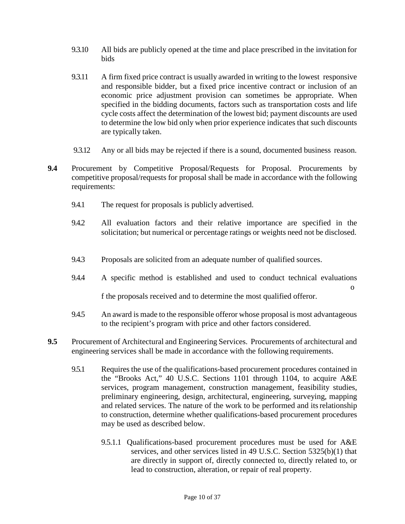- 9.3.10 All bids are publicly opened at the time and place prescribed in the invitation for bids
- 9.3.11 A firm fixed price contract is usually awarded in writing to the lowest responsive and responsible bidder, but a fixed price incentive contract or inclusion of an economic price adjustment provision can sometimes be appropriate. When specified in the bidding documents, factors such as transportation costs and life cycle costs affect the determination of the lowest bid; payment discounts are used to determine the low bid only when prior experience indicates that such discounts are typically taken.
- 9.3.12 Any or all bids may be rejected if there is a sound, documented business reason.
- **9.4** Procurement by Competitive Proposal/Requests for Proposal. Procurements by competitive proposal/requests for proposal shall be made in accordance with the following requirements:
	- 9.4.1 The request for proposals is publicly advertised.
	- 9.4.2 All evaluation factors and their relative importance are specified in the solicitation; but numerical or percentage ratings or weights need not be disclosed.
	- 9.4.3 Proposals are solicited from an adequate number of qualified sources.
	- 9.4.4 A specific method is established and used to conduct technical evaluations o f the proposals received and to determine the most qualified offeror.
	- 9.4.5 An award is made to the responsible offeror whose proposal is most advantageous to the recipient's program with price and other factors considered.
- **9.5** Procurement of Architectural and Engineering Services. Procurements of architectural and engineering services shall be made in accordance with the following requirements.
	- 9.5.1 Requires the use of the qualifications-based procurement procedures contained in the "Brooks Act," 40 U.S.C. Sections 1101 through 1104, to acquire A&E services, program management, construction management, feasibility studies, preliminary engineering, design, architectural, engineering, surveying, mapping and related services. The nature of the work to be performed and itsrelationship to construction, determine whether qualifications-based procurement procedures may be used as described below.
		- 9.5.1.1 Qualifications-based procurement procedures must be used for A&E services, and other services listed in 49 U.S.C. Section 5325(b)(1) that are directly in support of, directly connected to, directly related to, or lead to construction, alteration, or repair of real property.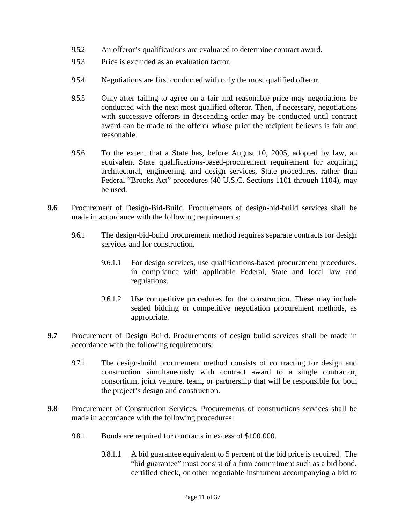- 9.5.2 An offeror's qualifications are evaluated to determine contract award.
- 9.5.3 Price is excluded as an evaluation factor.
- 9.5.4 Negotiations are first conducted with only the most qualified offeror.
- 9.5.5 Only after failing to agree on a fair and reasonable price may negotiations be conducted with the next most qualified offeror. Then, if necessary, negotiations with successive offerors in descending order may be conducted until contract award can be made to the offeror whose price the recipient believes is fair and reasonable.
- 9.5.6 To the extent that a State has, before August 10, 2005, adopted by law, an equivalent State qualifications-based-procurement requirement for acquiring architectural, engineering, and design services, State procedures, rather than Federal "Brooks Act" procedures (40 U.S.C. Sections 1101 through 1104), may be used.
- **9.6** Procurement of Design-Bid-Build. Procurements of design-bid-build services shall be made in accordance with the following requirements:
	- 9.6.1 The design-bid-build procurement method requires separate contracts for design services and for construction.
		- 9.6.1.1 For design services, use qualifications-based procurement procedures, in compliance with applicable Federal, State and local law and regulations.
		- 9.6.1.2 Use competitive procedures for the construction. These may include sealed bidding or competitive negotiation procurement methods, as appropriate.
- **9.7** Procurement of Design Build. Procurements of design build services shall be made in accordance with the following requirements:
	- 9.7.1 The design-build procurement method consists of contracting for design and construction simultaneously with contract award to a single contractor, consortium, joint venture, team, or partnership that will be responsible for both the project's design and construction.
- **9.8** Procurement of Construction Services. Procurements of constructions services shall be made in accordance with the following procedures:
	- 9.8.1 Bonds are required for contracts in excess of \$100,000.
		- 9.8.1.1 A bid guarantee equivalent to 5 percent of the bid price is required. The "bid guarantee" must consist of a firm commitment such as a bid bond, certified check, or other negotiable instrument accompanying a bid to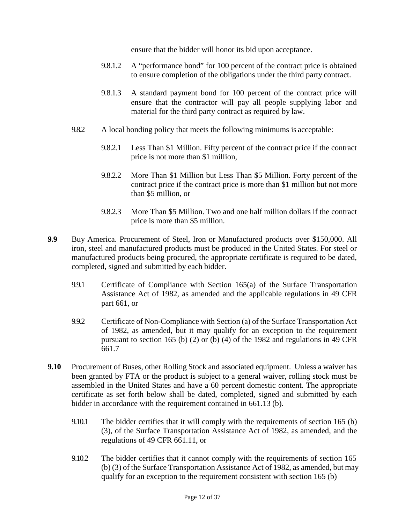ensure that the bidder will honor its bid upon acceptance.

- 9.8.1.2 A "performance bond" for 100 percent of the contract price is obtained to ensure completion of the obligations under the third party contract.
- 9.8.1.3 A standard payment bond for 100 percent of the contract price will ensure that the contractor will pay all people supplying labor and material for the third party contract as required by law.
- 9.8.2 A local bonding policy that meets the following minimums is acceptable:
	- 9.8.2.1 Less Than \$1 Million. Fifty percent of the contract price if the contract price is not more than \$1 million,
	- 9.8.2.2 More Than \$1 Million but Less Than \$5 Million. Forty percent of the contract price if the contract price is more than \$1 million but not more than \$5 million, or
	- 9.8.2.3 More Than \$5 Million. Two and one half million dollars if the contract price is more than \$5 million.
- **9.9** Buy America. Procurement of Steel, Iron or Manufactured products over \$150,000. All iron, steel and manufactured products must be produced in the United States. For steel or manufactured products being procured, the appropriate certificate is required to be dated, completed, signed and submitted by each bidder.
	- 9.9.1 Certificate of Compliance with Section 165(a) of the Surface Transportation Assistance Act of 1982, as amended and the applicable regulations in 49 CFR part 661, or
	- 9.9.2 Certificate of Non-Compliance with Section (a) of the Surface Transportation Act of 1982, as amended, but it may qualify for an exception to the requirement pursuant to section 165 (b) (2) or (b) (4) of the 1982 and regulations in 49 CFR 661.7
- **9.10** Procurement of Buses, other Rolling Stock and associated equipment. Unless a waiver has been granted by FTA or the product is subject to a general waiver, rolling stock must be assembled in the United States and have a 60 percent domestic content. The appropriate certificate as set forth below shall be dated, completed, signed and submitted by each bidder in accordance with the requirement contained in 661.13 (b).
	- 9.10.1 The bidder certifies that it will comply with the requirements of section 165 (b) (3), of the Surface Transportation Assistance Act of 1982, as amended, and the regulations of 49 CFR 661.11, or
	- 9.10.2 The bidder certifies that it cannot comply with the requirements of section 165 (b) (3) of the Surface Transportation Assistance Act of 1982, as amended, but may qualify for an exception to the requirement consistent with section 165 (b)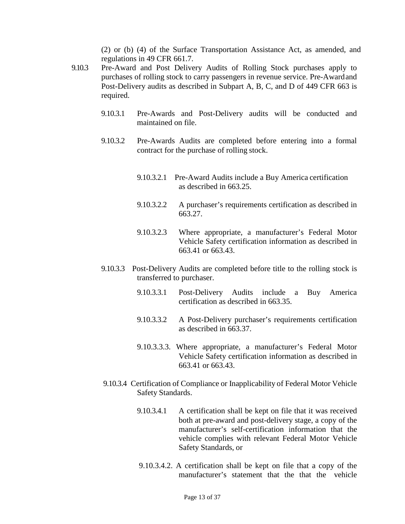(2) or (b) (4) of the Surface Transportation Assistance Act, as amended, and regulations in 49 CFR 661.7.

- 9.10.3 Pre-Award and Post Delivery Audits of Rolling Stock purchases apply to purchases of rolling stock to carry passengers in revenue service. Pre-Awardand Post-Delivery audits as described in Subpart A, B, C, and D of 449 CFR 663 is required.
	- 9.10.3.1 Pre-Awards and Post-Delivery audits will be conducted and maintained on file.
	- 9.10.3.2 Pre-Awards Audits are completed before entering into a formal contract for the purchase of rolling stock.
		- 9.10.3.2.1 Pre-Award Audits include a Buy America certification as described in 663.25.
		- 9.10.3.2.2 A purchaser's requirements certification as described in 663.27.
		- 9.10.3.2.3 Where appropriate, a manufacturer's Federal Motor Vehicle Safety certification information as described in 663.41 or 663.43.
	- 9.10.3.3 Post-Delivery Audits are completed before title to the rolling stock is transferred to purchaser.
		- 9.10.3.3.1 Post-Delivery Audits include a Buy America certification as described in 663.35.
		- 9.10.3.3.2 A Post-Delivery purchaser's requirements certification as described in 663.37.
		- 9.10.3.3.3. Where appropriate, a manufacturer's Federal Motor Vehicle Safety certification information as described in 663.41 or 663.43.
	- 9.10.3.4 Certification of Compliance or Inapplicability of Federal Motor Vehicle Safety Standards.
		- 9.10.3.4.1 A certification shall be kept on file that it was received both at pre-award and post-delivery stage, a copy of the manufacturer's self-certification information that the vehicle complies with relevant Federal Motor Vehicle Safety Standards, or
		- 9.10.3.4.2. A certification shall be kept on file that a copy of the manufacturer's statement that the that the vehicle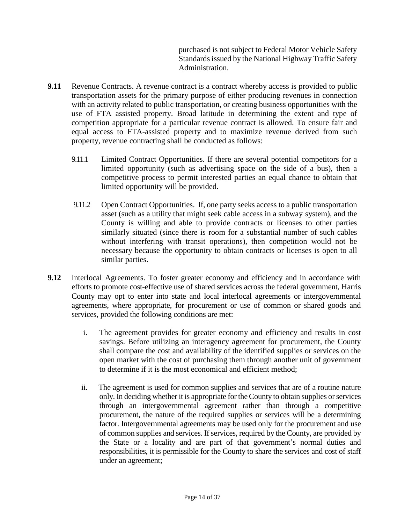purchased is not subject to Federal Motor Vehicle Safety Standards issued by the National Highway Traffic Safety Administration.

- **9.11** Revenue Contracts. A revenue contract is a contract whereby access is provided to public transportation assets for the primary purpose of either producing revenues in connection with an activity related to public transportation, or creating business opportunities with the use of FTA assisted property. Broad latitude in determining the extent and type of competition appropriate for a particular revenue contract is allowed. To ensure fair and equal access to FTA-assisted property and to maximize revenue derived from such property, revenue contracting shall be conducted as follows:
	- 9.11.1 Limited Contract Opportunities. If there are several potential competitors for a limited opportunity (such as advertising space on the side of a bus), then a competitive process to permit interested parties an equal chance to obtain that limited opportunity will be provided.
	- 9.11.2 Open Contract Opportunities. If, one party seeks access to a public transportation asset (such as a utility that might seek cable access in a subway system), and the County is willing and able to provide contracts or licenses to other parties similarly situated (since there is room for a substantial number of such cables without interfering with transit operations), then competition would not be necessary because the opportunity to obtain contracts or licenses is open to all similar parties.
- **9.12** Interlocal Agreements. To foster greater economy and efficiency and in accordance with efforts to promote cost-effective use of shared services across the federal government, Harris County may opt to enter into state and local interlocal agreements or intergovernmental agreements, where appropriate, for procurement or use of common or shared goods and services, provided the following conditions are met:
	- i. The agreement provides for greater economy and efficiency and results in cost savings. Before utilizing an interagency agreement for procurement, the County shall compare the cost and availability of the identified supplies or services on the open market with the cost of purchasing them through another unit of government to determine if it is the most economical and efficient method;
	- ii. The agreement is used for common supplies and services that are of a routine nature only. In deciding whether it is appropriate for the County to obtain supplies or services through an intergovernmental agreement rather than through a competitive procurement, the nature of the required supplies or services will be a determining factor. Intergovernmental agreements may be used only for the procurement and use of common supplies and services. If services, required by the County, are provided by the State or a locality and are part of that government's normal duties and responsibilities, it is permissible for the County to share the services and cost of staff under an agreement;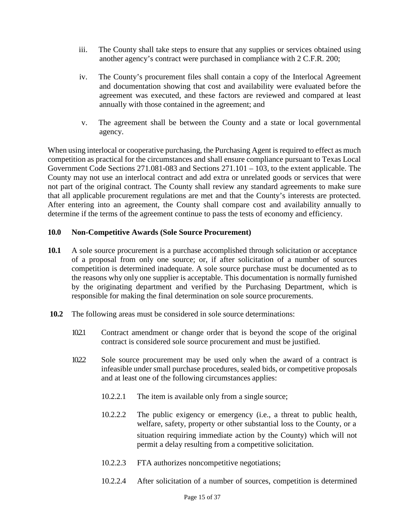- iii. The County shall take steps to ensure that any supplies or services obtained using another agency's contract were purchased in compliance with 2 C.F.R. 200;
- iv. The County's procurement files shall contain a copy of the Interlocal Agreement and documentation showing that cost and availability were evaluated before the agreement was executed, and these factors are reviewed and compared at least annually with those contained in the agreement; and
- v. The agreement shall be between the County and a state or local governmental agency.

When using interlocal or cooperative purchasing, the Purchasing Agent is required to effect as much competition as practical for the circumstances and shall ensure compliance pursuant to Texas Local Government Code Sections 271.081-083 and Sections 271.101 – 103, to the extent applicable. The County may not use an interlocal contract and add extra or unrelated goods or services that were not part of the original contract. The County shall review any standard agreements to make sure that all applicable procurement regulations are met and that the County's interests are protected. After entering into an agreement, the County shall compare cost and availability annually to determine if the terms of the agreement continue to pass the tests of economy and efficiency.

#### <span id="page-14-0"></span>**10.0 Non-Competitive Awards (Sole Source Procurement)**

- **10.1** A sole source procurement is a purchase accomplished through solicitation or acceptance of a proposal from only one source; or, if after solicitation of a number of sources competition is determined inadequate. A sole source purchase must be documented as to the reasons why only one supplier is acceptable. This documentation is normally furnished by the originating department and verified by the Purchasing Department, which is responsible for making the final determination on sole source procurements.
- **10.2** The following areas must be considered in sole source determinations:
	- 10.2.1 Contract amendment or change order that is beyond the scope of the original contract is considered sole source procurement and must be justified.
	- 10.2.2 Sole source procurement may be used only when the award of a contract is infeasible under small purchase procedures, sealed bids, or competitive proposals and at least one of the following circumstances applies:
		- 10.2.2.1 The item is available only from a single source;
		- 10.2.2.2 The public exigency or emergency (i.e., a threat to public health, welfare, safety, property or other substantial loss to the County, or a situation requiring immediate action by the County) which will not permit a delay resulting from a competitive solicitation.
		- 10.2.2.3 FTA authorizes noncompetitive negotiations;
		- 10.2.2.4 After solicitation of a number of sources, competition is determined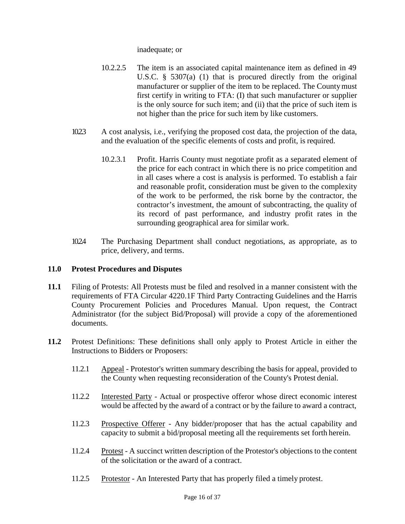inadequate; or

- 10.2.2.5 The item is an associated capital maintenance item as defined in 49 U.S.C. § 5307(a) (1) that is procured directly from the original manufacturer or supplier of the item to be replaced. The Countymust first certify in writing to FTA: (I) that such manufacturer or supplier is the only source for such item; and (ii) that the price of such item is not higher than the price for such item by like customers.
- 10.2.3 A cost analysis, i.e., verifying the proposed cost data, the projection of the data, and the evaluation of the specific elements of costs and profit, is required.
	- 10.2.3.1 Profit. Harris County must negotiate profit as a separated element of the price for each contract in which there is no price competition and in all cases where a cost is analysis is performed. To establish a fair and reasonable profit, consideration must be given to the complexity of the work to be performed, the risk borne by the contractor, the contractor's investment, the amount of subcontracting, the quality of its record of past performance, and industry profit rates in the surrounding geographical area for similar work.
- 10.2.4 The Purchasing Department shall conduct negotiations, as appropriate, as to price, delivery, and terms.

#### <span id="page-15-0"></span>**11.0 Protest Procedures and Disputes**

- **11.1** Filing of Protests: All Protests must be filed and resolved in a manner consistent with the requirements of FTA Circular 4220.1F Third Party Contracting Guidelines and the Harris County Procurement Policies and Procedures Manual. Upon request, the Contract Administrator (for the subject Bid/Proposal) will provide a copy of the aforementioned documents.
- **11.2** Protest Definitions: These definitions shall only apply to Protest Article in either the Instructions to Bidders or Proposers:
	- 11.2.1 Appeal Protestor's written summary describing the basis for appeal, provided to the County when requesting reconsideration of the County's Protest denial.
	- 11.2.2 Interested Party Actual or prospective offeror whose direct economic interest would be affected by the award of a contract or by the failure to award a contract,
	- 11.2.3 Prospective Offerer Any bidder/proposer that has the actual capability and capacity to submit a bid/proposal meeting all the requirements set forth herein.
	- 11.2.4 Protest A succinct written description of the Protestor's objections to the content of the solicitation or the award of a contract.
	- 11.2.5 Protestor An Interested Party that has properly filed a timely protest.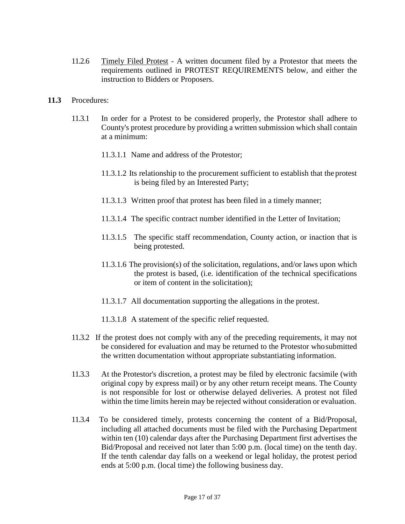- 11.2.6 Timely Filed Protest A written document filed by a Protestor that meets the requirements outlined in PROTEST REQUIREMENTS below, and either the instruction to Bidders or Proposers.
- **11.3** Procedures:
	- 11.3.1 In order for a Protest to be considered properly, the Protestor shall adhere to County's protest procedure by providing a written submission which shall contain at a minimum:
		- 11.3.1.1 Name and address of the Protestor;
		- 11.3.1.2 Its relationship to the procurement sufficient to establish that the protest is being filed by an Interested Party;
		- 11.3.1.3 Written proof that protest has been filed in a timely manner;
		- 11.3.1.4 The specific contract number identified in the Letter of Invitation;
		- 11.3.1.5 The specific staff recommendation, County action, or inaction that is being protested.
		- 11.3.1.6 The provision(s) of the solicitation, regulations, and/or laws upon which the protest is based, (i.e. identification of the technical specifications or item of content in the solicitation);
		- 11.3.1.7 All documentation supporting the allegations in the protest.
		- 11.3.1.8 A statement of the specific relief requested.
	- 11.3.2 If the protest does not comply with any of the preceding requirements, it may not be considered for evaluation and may be returned to the Protestor whosubmitted the written documentation without appropriate substantiating information.
	- 11.3.3 At the Protestor's discretion, a protest may be filed by electronic facsimile (with original copy by express mail) or by any other return receipt means. The County is not responsible for lost or otherwise delayed deliveries. A protest not filed within the time limits herein may be rejected without consideration or evaluation.
	- 11.3.4 To be considered timely, protests concerning the content of a Bid/Proposal, including all attached documents must be filed with the Purchasing Department within ten (10) calendar days after the Purchasing Department first advertises the Bid/Proposal and received not later than 5:00 p.m. (local time) on the tenth day. If the tenth calendar day falls on a weekend or legal holiday, the protest period ends at 5:00 p.m. (local time) the following business day.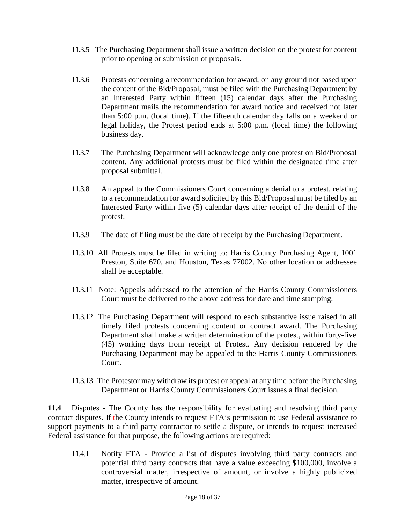- 11.3.5 The Purchasing Department shall issue a written decision on the protest for content prior to opening or submission of proposals.
- 11.3.6 Protests concerning a recommendation for award, on any ground not based upon the content of the Bid/Proposal, must be filed with the Purchasing Department by an Interested Party within fifteen (15) calendar days after the Purchasing Department mails the recommendation for award notice and received not later than 5:00 p.m. (local time). If the fifteenth calendar day falls on a weekend or legal holiday, the Protest period ends at 5:00 p.m. (local time) the following business day.
- 11.3.7 The Purchasing Department will acknowledge only one protest on Bid/Proposal content. Any additional protests must be filed within the designated time after proposal submittal.
- 11.3.8 An appeal to the Commissioners Court concerning a denial to a protest, relating to a recommendation for award solicited by this Bid/Proposal must be filed by an Interested Party within five (5) calendar days after receipt of the denial of the protest.
- 11.3.9 The date of filing must be the date of receipt by the Purchasing Department.
- 11.3.10 All Protests must be filed in writing to: Harris County Purchasing Agent, 1001 Preston, Suite 670, and Houston, Texas 77002. No other location or addressee shall be acceptable.
- 11.3.11 Note: Appeals addressed to the attention of the Harris County Commissioners Court must be delivered to the above address for date and time stamping.
- 11.3.12 The Purchasing Department will respond to each substantive issue raised in all timely filed protests concerning content or contract award. The Purchasing Department shall make a written determination of the protest, within forty-five (45) working days from receipt of Protest. Any decision rendered by the Purchasing Department may be appealed to the Harris County Commissioners Court.
- 11.3.13 The Protestor may withdraw its protest or appeal at any time before the Purchasing Department or Harris County Commissioners Court issues a final decision.

**11.4** Disputes - The County has the responsibility for evaluating and resolving third party contract disputes. If the County intends to request FTA's permission to use Federal assistance to support payments to a third party contractor to settle a dispute, or intends to request increased Federal assistance for that purpose, the following actions are required:

11.4.1 Notify FTA - Provide a list of disputes involving third party contracts and potential third party contracts that have a value exceeding \$100,000, involve a controversial matter, irrespective of amount, or involve a highly publicized matter, irrespective of amount.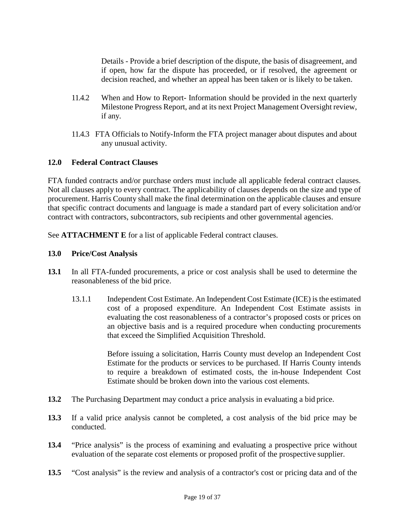Details - Provide a brief description of the dispute, the basis of disagreement, and if open, how far the dispute has proceeded, or if resolved, the agreement or decision reached, and whether an appeal has been taken or is likely to be taken.

- 11.4.2 When and How to Report- Information should be provided in the next quarterly Milestone Progress Report, and at its next Project Management Oversight review, if any.
- 11.4.3 FTA Officials to Notify-Inform the FTA project manager about disputes and about any unusual activity.

#### <span id="page-18-0"></span>**12.0 Federal Contract Clauses**

FTA funded contracts and/or purchase orders must include all applicable federal contract clauses. Not all clauses apply to every contract. The applicability of clauses depends on the size and type of procurement. Harris County shall make the final determination on the applicable clauses and ensure that specific contract documents and language is made a standard part of every solicitation and/or contract with contractors, subcontractors, sub recipients and other governmental agencies.

See **ATTACHMENT E** for a list of applicable Federal contract clauses.

#### <span id="page-18-1"></span>**13.0 Price/Cost Analysis**

- **13.1** In all FTA-funded procurements, a price or cost analysis shall be used to determine the reasonableness of the bid price.
	- 13.1.1 Independent Cost Estimate. An Independent Cost Estimate (ICE) is the estimated cost of a proposed expenditure. An Independent Cost Estimate assists in evaluating the cost reasonableness of a contractor's proposed costs or prices on an objective basis and is a required procedure when conducting procurements that exceed the Simplified Acquisition Threshold.

Before issuing a solicitation, Harris County must develop an Independent Cost Estimate for the products or services to be purchased. If Harris County intends to require a breakdown of estimated costs, the in-house Independent Cost Estimate should be broken down into the various cost elements.

- **13.2** The Purchasing Department may conduct a price analysis in evaluating a bid price.
- **13.3** If a valid price analysis cannot be completed, a cost analysis of the bid price may be conducted.
- **13.4** "Price analysis" is the process of examining and evaluating a prospective price without evaluation of the separate cost elements or proposed profit of the prospective supplier.
- **13.5** "Cost analysis" is the review and analysis of a contractor's cost or pricing data and of the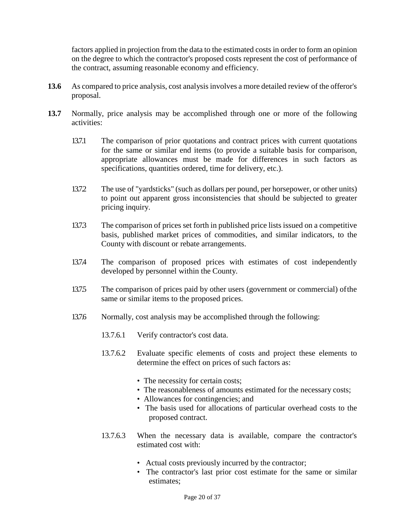factors applied in projection from the data to the estimated costs in order to form an opinion on the degree to which the contractor's proposed costs represent the cost of performance of the contract, assuming reasonable economy and efficiency.

- 13.6 As compared to price analysis, cost analysis involves a more detailed review of the offeror's proposal.
- **13.7** Normally, price analysis may be accomplished through one or more of the following activities:
	- 13.7.1 The comparison of prior quotations and contract prices with current quotations for the same or similar end items (to provide a suitable basis for comparison, appropriate allowances must be made for differences in such factors as specifications, quantities ordered, time for delivery, etc.).
	- 13.7.2 The use of "yardsticks" (such as dollars per pound, per horsepower, or other units) to point out apparent gross inconsistencies that should be subjected to greater pricing inquiry.
	- 13.7.3 The comparison of prices set forth in published price lists issued on a competitive basis, published market prices of commodities, and similar indicators, to the County with discount or rebate arrangements.
	- 13.7.4 The comparison of proposed prices with estimates of cost independently developed by personnel within the County.
	- 13.7.5 The comparison of prices paid by other users (government or commercial) ofthe same or similar items to the proposed prices.
	- 13.7.6 Normally, cost analysis may be accomplished through the following:
		- 13.7.6.1 Verify contractor's cost data.
		- 13.7.6.2 Evaluate specific elements of costs and project these elements to determine the effect on prices of such factors as:
			- The necessity for certain costs;
			- The reasonableness of amounts estimated for the necessary costs;
			- Allowances for contingencies; and
			- The basis used for allocations of particular overhead costs to the proposed contract.
		- 13.7.6.3 When the necessary data is available, compare the contractor's estimated cost with:
			- Actual costs previously incurred by the contractor;
			- The contractor's last prior cost estimate for the same or similar estimates;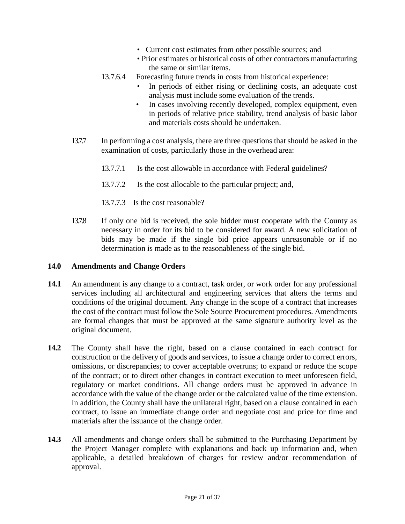- Current cost estimates from other possible sources; and
- Prior estimates or historical costs of other contractors manufacturing the same or similar items.
- 13.7.6.4 Forecasting future trends in costs from historical experience:
	- In periods of either rising or declining costs, an adequate cost analysis must include some evaluation of the trends.
	- In cases involving recently developed, complex equipment, even in periods of relative price stability, trend analysis of basic labor and materials costs should be undertaken.
- 13.7.7 In performing a cost analysis, there are three questions that should be asked in the examination of costs, particularly those in the overhead area:
	- 13.7.7.1 Is the cost allowable in accordance with Federal guidelines?
	- 13.7.7.2 Is the cost allocable to the particular project; and,
	- 13.7.7.3 Is the cost reasonable?
- 13.7.8 If only one bid is received, the sole bidder must cooperate with the County as necessary in order for its bid to be considered for award. A new solicitation of bids may be made if the single bid price appears unreasonable or if no determination is made as to the reasonableness of the single bid.

#### <span id="page-20-0"></span>**14.0 Amendments and Change Orders**

- **14.1** An amendment is any change to a contract, task order, or work order for any professional services including all architectural and engineering services that alters the terms and conditions of the original document. Any change in the scope of a contract that increases the cost of the contract must follow the Sole Source Procurement procedures. Amendments are formal changes that must be approved at the same signature authority level as the original document.
- **14.2** The County shall have the right, based on a clause contained in each contract for construction or the delivery of goods and services, to issue a change order to correct errors, omissions, or discrepancies; to cover acceptable overruns; to expand or reduce the scope of the contract; or to direct other changes in contract execution to meet unforeseen field, regulatory or market conditions. All change orders must be approved in advance in accordance with the value of the change order or the calculated value of the time extension. In addition, the County shall have the unilateral right, based on a clause contained in each contract, to issue an immediate change order and negotiate cost and price for time and materials after the issuance of the change order.
- **14.3** All amendments and change orders shall be submitted to the Purchasing Department by the Project Manager complete with explanations and back up information and, when applicable, a detailed breakdown of charges for review and/or recommendation of approval.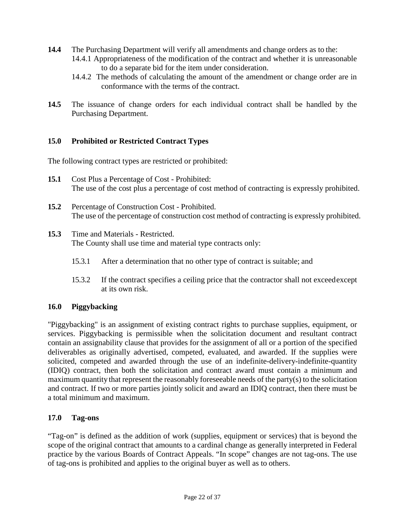- **14.4** The Purchasing Department will verify all amendments and change orders as to the:
	- 14.4.1 Appropriateness of the modification of the contract and whether it is unreasonable to do a separate bid for the item under consideration.
	- 14.4.2 The methods of calculating the amount of the amendment or change order are in conformance with the terms of the contract.
- **14.5** The issuance of change orders for each individual contract shall be handled by the Purchasing Department.

#### <span id="page-21-0"></span>**15.0 Prohibited or Restricted Contract Types**

The following contract types are restricted or prohibited:

- **15.1** Cost Plus a Percentage of Cost Prohibited: The use of the cost plus a percentage of cost method of contracting is expressly prohibited.
- **15.2** Percentage of Construction Cost Prohibited. The use of the percentage of construction cost method of contracting is expressly prohibited.
- **15.3** Time and Materials Restricted. The County shall use time and material type contracts only:
	- 15.3.1 After a determination that no other type of contract is suitable; and
	- 15.3.2 If the contract specifies a ceiling price that the contractor shall not exceedexcept at its own risk.

#### <span id="page-21-1"></span>**16.0 Piggybacking**

"Piggybacking" is an assignment of existing contract rights to purchase supplies, equipment, or services. Piggybacking is permissible when the solicitation document and resultant contract contain an assignability clause that provides for the assignment of all or a portion of the specified deliverables as originally advertised, competed, evaluated, and awarded. If the supplies were solicited, competed and awarded through the use of an indefinite-delivery-indefinite-quantity (IDIQ) contract, then both the solicitation and contract award must contain a minimum and maximum quantity that represent the reasonably foreseeable needs of the party(s) to the solicitation and contract. If two or more parties jointly solicit and award an IDIQ contract, then there must be a total minimum and maximum.

#### <span id="page-21-2"></span>**17.0 Tag-ons**

"Tag-on" is defined as the addition of work (supplies, equipment or services) that is beyond the scope of the original contract that amounts to a cardinal change as generally interpreted in Federal practice by the various Boards of Contract Appeals. "In scope" changes are not tag-ons. The use of tag-ons is prohibited and applies to the original buyer as well as to others.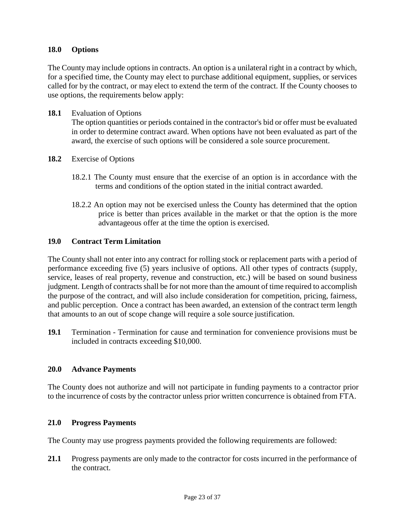#### <span id="page-22-0"></span>**18.0 Options**

The County may include options in contracts. An option is a unilateral right in a contract by which, for a specified time, the County may elect to purchase additional equipment, supplies, or services called for by the contract, or may elect to extend the term of the contract. If the County chooses to use options, the requirements below apply:

**18.1** Evaluation of Options

The option quantities or periods contained in the contractor's bid or offer must be evaluated in order to determine contract award. When options have not been evaluated as part of the award, the exercise of such options will be considered a sole source procurement.

- **18.2** Exercise of Options
	- 18.2.1 The County must ensure that the exercise of an option is in accordance with the terms and conditions of the option stated in the initial contract awarded.
	- 18.2.2 An option may not be exercised unless the County has determined that the option price is better than prices available in the market or that the option is the more advantageous offer at the time the option is exercised.

#### <span id="page-22-1"></span>**19.0 Contract Term Limitation**

The County shall not enter into any contract for rolling stock or replacement parts with a period of performance exceeding five (5) years inclusive of options. All other types of contracts (supply, service, leases of real property, revenue and construction, etc.) will be based on sound business judgment. Length of contractsshall be for not more than the amount of time required to accomplish the purpose of the contract, and will also include consideration for competition, pricing, fairness, and public perception. Once a contract has been awarded, an extension of the contract term length that amounts to an out of scope change will require a sole source justification.

**19.1** Termination - Termination for cause and termination for convenience provisions must be included in contracts exceeding \$10,000.

#### <span id="page-22-2"></span>**20.0 Advance Payments**

The County does not authorize and will not participate in funding payments to a contractor prior to the incurrence of costs by the contractor unless prior written concurrence is obtained from FTA.

#### <span id="page-22-3"></span>**21.0 Progress Payments**

The County may use progress payments provided the following requirements are followed:

**21.1** Progress payments are only made to the contractor for costs incurred in the performance of the contract.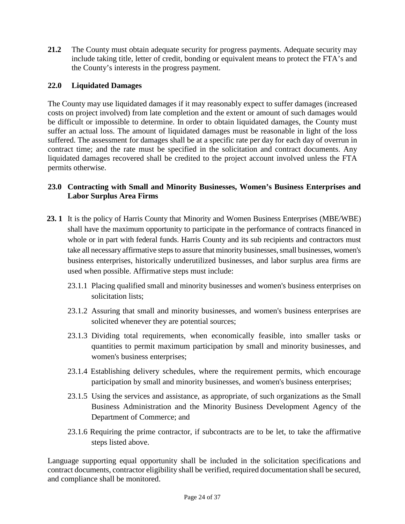**21.2** The County must obtain adequate security for progress payments. Adequate security may include taking title, letter of credit, bonding or equivalent means to protect the FTA's and the County's interests in the progress payment.

#### <span id="page-23-0"></span>**22.0 Liquidated Damages**

The County may use liquidated damages if it may reasonably expect to suffer damages (increased costs on project involved) from late completion and the extent or amount of such damages would be difficult or impossible to determine. In order to obtain liquidated damages, the County must suffer an actual loss. The amount of liquidated damages must be reasonable in light of the loss suffered. The assessment for damages shall be at a specific rate per day for each day of overrun in contract time; and the rate must be specified in the solicitation and contract documents. Any liquidated damages recovered shall be credited to the project account involved unless the FTA permits otherwise.

#### <span id="page-23-1"></span>**23.0 Contracting with Small and Minority Businesses, Women's Business Enterprises and Labor Surplus Area Firms**

- **23. 1** It is the policy of Harris County that Minority and Women Business Enterprises (MBE/WBE) shall have the maximum opportunity to participate in the performance of contracts financed in whole or in part with federal funds. Harris County and its sub recipients and contractors must take all necessary affirmative steps to assure that minority businesses, small businesses, women's business enterprises, historically underutilized businesses, and labor surplus area firms are used when possible. Affirmative steps must include:
	- 23.1.1 Placing qualified small and minority businesses and women's business enterprises on solicitation lists;
	- 23.1.2 Assuring that small and minority businesses, and women's business enterprises are solicited whenever they are potential sources;
	- 23.1.3 Dividing total requirements, when economically feasible, into smaller tasks or quantities to permit maximum participation by small and minority businesses, and women's business enterprises;
	- 23.1.4 Establishing delivery schedules, where the requirement permits, which encourage participation by small and minority businesses, and women's business enterprises;
	- 23.1.5 Using the services and assistance, as appropriate, of such organizations as the Small Business Administration and the Minority Business Development Agency of the Department of Commerce; and
	- 23.1.6 Requiring the prime contractor, if subcontracts are to be let, to take the affirmative steps listed above.

Language supporting equal opportunity shall be included in the solicitation specifications and contract documents, contractor eligibility shall be verified, required documentation shall be secured, and compliance shall be monitored.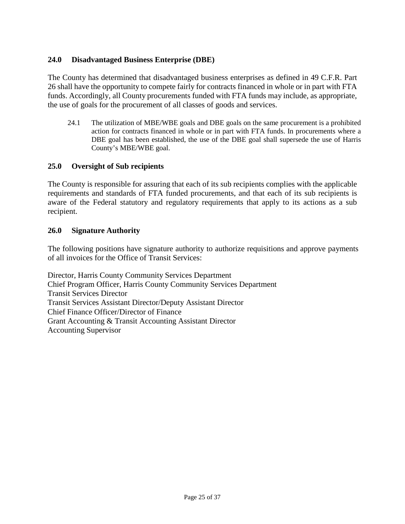#### <span id="page-24-0"></span>**24.0 Disadvantaged Business Enterprise (DBE)**

The County has determined that disadvantaged business enterprises as defined in 49 C.F.R. Part 26 shall have the opportunity to compete fairly for contracts financed in whole or in part with FTA funds. Accordingly, all County procurements funded with FTA funds may include, as appropriate, the use of goals for the procurement of all classes of goods and services.

24.1 The utilization of MBE/WBE goals and DBE goals on the same procurement is a prohibited action for contracts financed in whole or in part with FTA funds. In procurements where a DBE goal has been established, the use of the DBE goal shall supersede the use of Harris County's MBE/WBE goal.

#### <span id="page-24-1"></span>**25.0 Oversight of Sub recipients**

The County is responsible for assuring that each of its sub recipients complies with the applicable requirements and standards of FTA funded procurements, and that each of its sub recipients is aware of the Federal statutory and regulatory requirements that apply to its actions as a sub recipient.

#### <span id="page-24-2"></span>**26.0 Signature Authority**

The following positions have signature authority to authorize requisitions and approve payments of all invoices for the Office of Transit Services:

Director, Harris County Community Services Department Chief Program Officer, Harris County Community Services Department Transit Services Director Transit Services Assistant Director/Deputy Assistant Director Chief Finance Officer/Director of Finance Grant Accounting & Transit Accounting Assistant Director Accounting Supervisor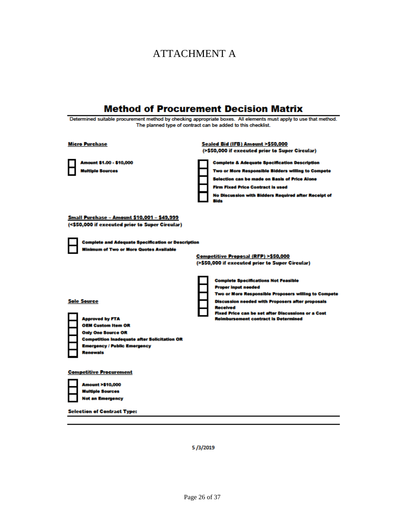# ATTACHMENT A

| <b>Method of Procurement Decision Matrix</b>                                                                                                                                                                            |                                                                                                                                                                                                                                                                                                                                                                                                                        |  |  |  |  |  |
|-------------------------------------------------------------------------------------------------------------------------------------------------------------------------------------------------------------------------|------------------------------------------------------------------------------------------------------------------------------------------------------------------------------------------------------------------------------------------------------------------------------------------------------------------------------------------------------------------------------------------------------------------------|--|--|--|--|--|
| Determined suitable procurement method by checking appropriate boxes. All elements must apply to use that method.<br>The planned type of contract can be added to this checklist.                                       |                                                                                                                                                                                                                                                                                                                                                                                                                        |  |  |  |  |  |
| <b>Micro Purchase</b><br>Amount \$1.00 - \$10,000<br><b>Multiple Sources</b>                                                                                                                                            | Sealed Bid (IFB) Amount >\$50,000<br>(>\$50,000 if executed prior to Super Circular)<br><b>Complete &amp; Adequate Specification Description</b><br>Two or More Responsible Bidders willing to Compete<br><b>Selection can be made on Basis of Price Alone</b><br><b>Firm Fixed Price Contract is used</b><br><b>No Discussion with Bidders Required after Receipt of</b><br><b>Bids</b>                               |  |  |  |  |  |
| <u> Small Purchase – Amount \$10,001 – \$49,999</u><br>(<\$50,000 if executed prior to Super Circular)<br><b>Complete and Adequate Specification or Description</b><br><b>Minimum of Two or More Quotes Available</b>   |                                                                                                                                                                                                                                                                                                                                                                                                                        |  |  |  |  |  |
| <b>Sole Source</b><br><b>Approved by FTA</b><br><b>OEM Custom Item OR</b><br><b>Only One Source OR</b><br><b>Competition Inadequate after Solicitation OR</b><br><b>Emergency / Public Emergency</b><br><b>Renewals</b> | Competitive Proposal (RFP) >\$50,000<br>(>\$50,000 if executed prior to Super Circular)<br><b>Complete Specifications Not Feasible</b><br><b>Proper input needed</b><br>Two or More Responsible Proposers willing to Compete<br><b>Discussion needed with Proposers after proposals</b><br><b>Received</b><br><b>Fixed Price can be set after Discussions or a Cost</b><br><b>Reimbursement contract is Determined</b> |  |  |  |  |  |
| <b>Competitive Procurement</b><br><b>Amount &gt;\$10,000</b><br><b>Multiple Sources</b><br><b>Not an Emergency</b><br><b>Selection of Contract Type:</b>                                                                |                                                                                                                                                                                                                                                                                                                                                                                                                        |  |  |  |  |  |
|                                                                                                                                                                                                                         |                                                                                                                                                                                                                                                                                                                                                                                                                        |  |  |  |  |  |

5/3/2019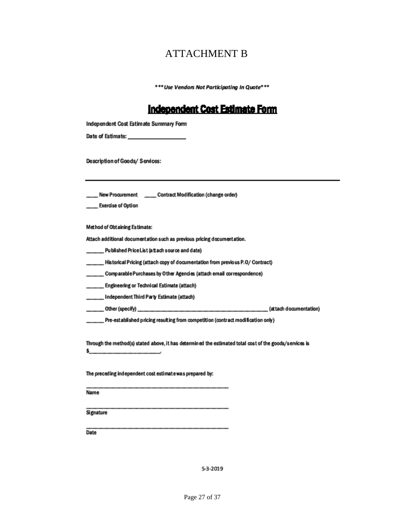### ATTACHMENT B

\*\*\* Use Vendors Not Participating In Quote\*\*\*

#### **Independent Cost Estimate Form**

| Independent Cost Estimate Summary Form |  |
|----------------------------------------|--|
|----------------------------------------|--|

Description of Goods/ Services:

\_\_\_\_\_ New Procurement \_\_\_\_\_\_ Contract Modification (change order)

Exercise of Option

**Method of Obtaining Estimate:** 

Attach additional documentation such as previous pricing documentation.

\_\_ Published Price List (attach source and date)

Historical Pricing (attach copy of documentation from previous P.O/ Contract)

Comparable Purchases by Other Agencies (attach email correspondence)

.... Engineering or Technical Estimate (attach)

Independent Third Party Estimate (attach)

\_Pre-established pricing resulting from competition (contract modification only)

Through the method(s) stated above, it has determined the estimated total cost of the goods/services is \$\_ the control of the control of the

The preceding independent cost estimate was prepared by:

Name

Signature

Date

5-3-2019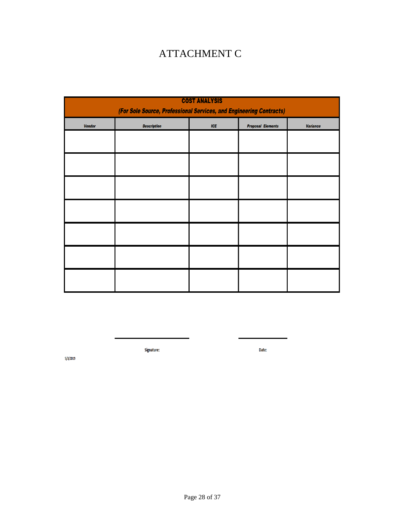# ATTACHMENT C

| <b>COST ANALYSIS</b><br>(For Sole Source, Professional Services, and Engineering Contracts) |                    |       |                          |                 |  |  |  |  |  |
|---------------------------------------------------------------------------------------------|--------------------|-------|--------------------------|-----------------|--|--|--|--|--|
| <b>Vendor</b>                                                                               | <b>Description</b> | $ICE$ | <b>Proposal Elements</b> | <b>Variance</b> |  |  |  |  |  |
|                                                                                             |                    |       |                          |                 |  |  |  |  |  |
|                                                                                             |                    |       |                          |                 |  |  |  |  |  |
|                                                                                             |                    |       |                          |                 |  |  |  |  |  |
|                                                                                             |                    |       |                          |                 |  |  |  |  |  |
|                                                                                             |                    |       |                          |                 |  |  |  |  |  |
|                                                                                             |                    |       |                          |                 |  |  |  |  |  |
|                                                                                             |                    |       |                          |                 |  |  |  |  |  |

Signature:

Date:

 $5/3/2019$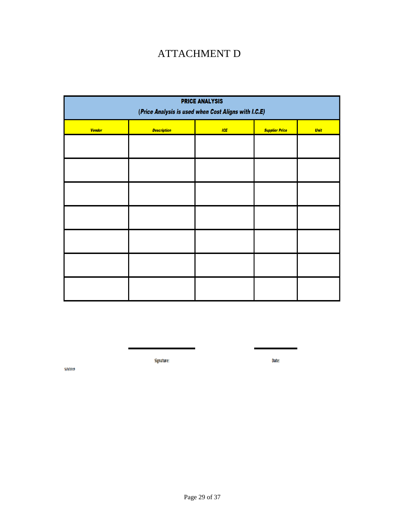## ATTACHMENT D

| <b>PRICE ANALYSIS</b><br>(Price Analysis is used when Cost Aligns with I.C.E) |                    |     |                       |             |  |  |  |  |  |
|-------------------------------------------------------------------------------|--------------------|-----|-----------------------|-------------|--|--|--|--|--|
| <b>Vendor</b>                                                                 | <b>Description</b> | ICE | <b>Supplier Price</b> | <b>Unit</b> |  |  |  |  |  |
|                                                                               |                    |     |                       |             |  |  |  |  |  |
|                                                                               |                    |     |                       |             |  |  |  |  |  |
|                                                                               |                    |     |                       |             |  |  |  |  |  |
|                                                                               |                    |     |                       |             |  |  |  |  |  |
|                                                                               |                    |     |                       |             |  |  |  |  |  |
|                                                                               |                    |     |                       |             |  |  |  |  |  |
|                                                                               |                    |     |                       |             |  |  |  |  |  |

Signature:

Date:

 $5/3/2019$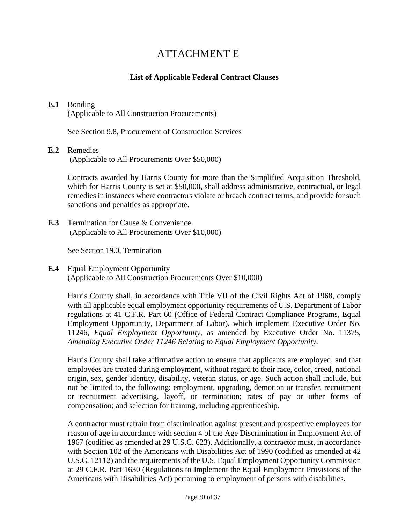### ATTACHMENT E

#### **List of Applicable Federal Contract Clauses**

#### **E.1** Bonding

(Applicable to All Construction Procurements)

See Section 9.8, Procurement of Construction Services

#### **E.2** Remedies

(Applicable to All Procurements Over \$50,000)

Contracts awarded by Harris County for more than the Simplified Acquisition Threshold, which for Harris County is set at \$50,000, shall address administrative, contractual, or legal remedies in instances where contractors violate or breach contract terms, and provide for such sanctions and penalties as appropriate.

**E.3** Termination for Cause & Convenience (Applicable to All Procurements Over \$10,000)

See Section 19.0, Termination

#### **E.4** Equal Employment Opportunity (Applicable to All Construction Procurements Over \$10,000)

Harris County shall, in accordance with Title VII of the Civil Rights Act of 1968, comply with all applicable equal employment opportunity requirements of U.S. Department of Labor regulations at 41 C.F.R. Part 60 (Office of Federal Contract Compliance Programs, Equal Employment Opportunity, Department of Labor), which implement Executive Order No. 11246, *Equal Employment Opportunity*, as amended by Executive Order No. 11375, *Amending Executive Order 11246 Relating to Equal Employment Opportunity*.

Harris County shall take affirmative action to ensure that applicants are employed, and that employees are treated during employment, without regard to their race, color, creed, national origin, sex, gender identity, disability, veteran status, or age. Such action shall include, but not be limited to, the following: employment, upgrading, demotion or transfer, recruitment or recruitment advertising, layoff, or termination; rates of pay or other forms of compensation; and selection for training, including apprenticeship.

A contractor must refrain from discrimination against present and prospective employees for reason of age in accordance with section 4 of the Age Discrimination in Employment Act of 1967 (codified as amended at 29 U.S.C. 623). Additionally, a contractor must, in accordance with Section 102 of the Americans with Disabilities Act of 1990 (codified as amended at 42 U.S.C. 12112) and the requirements of the U.S. Equal Employment Opportunity Commission at 29 C.F.R. Part 1630 (Regulations to Implement the Equal Employment Provisions of the Americans with Disabilities Act) pertaining to employment of persons with disabilities.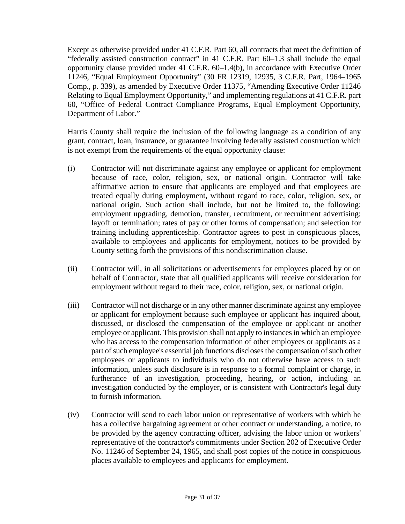Except as otherwise provided under 41 C.F.R. Part 60, all contracts that meet the definition of "federally assisted construction contract" in 41 C.F.R. Part 60–1.3 shall include the equal opportunity clause provided under 41 C.F.R. 60–1.4(b), in accordance with Executive Order 11246, "Equal Employment Opportunity" (30 FR 12319, 12935, 3 C.F.R. Part, 1964–1965 Comp., p. 339), as amended by Executive Order 11375, "Amending Executive Order 11246 Relating to Equal Employment Opportunity," and implementing regulations at 41 C.F.R. part 60, "Office of Federal Contract Compliance Programs, Equal Employment Opportunity, Department of Labor."

Harris County shall require the inclusion of the following language as a condition of any grant, contract, loan, insurance, or guarantee involving federally assisted construction which is not exempt from the requirements of the equal opportunity clause:

- (i) Contractor will not discriminate against any employee or applicant for employment because of race, color, religion, sex, or national origin. Contractor will take affirmative action to ensure that applicants are employed and that employees are treated equally during employment, without regard to race, color, religion, sex, or national origin. Such action shall include, but not be limited to, the following: employment upgrading, demotion, transfer, recruitment, or recruitment advertising; layoff or termination; rates of pay or other forms of compensation; and selection for training including apprenticeship. Contractor agrees to post in conspicuous places, available to employees and applicants for employment, notices to be provided by County setting forth the provisions of this nondiscrimination clause.
- (ii) Contractor will, in all solicitations or advertisements for employees placed by or on behalf of Contractor, state that all qualified applicants will receive consideration for employment without regard to their race, color, religion, sex, or national origin.
- (iii) Contractor will not discharge or in any other manner discriminate against any employee or applicant for employment because such employee or applicant has inquired about, discussed, or disclosed the compensation of the employee or applicant or another employee or applicant. This provision shall not apply to instances in which an employee who has access to the compensation information of other employees or applicants as a part of such employee's essential job functions discloses the compensation of such other employees or applicants to individuals who do not otherwise have access to such information, unless such disclosure is in response to a formal complaint or charge, in furtherance of an investigation, proceeding, hearing, or action, including an investigation conducted by the employer, or is consistent with Contractor's legal duty to furnish information.
- (iv) Contractor will send to each labor union or representative of workers with which he has a collective bargaining agreement or other contract or understanding, a notice, to be provided by the agency contracting officer, advising the labor union or workers' representative of the contractor's commitments under Section 202 of Executive Order No. 11246 of September 24, 1965, and shall post copies of the notice in conspicuous places available to employees and applicants for employment.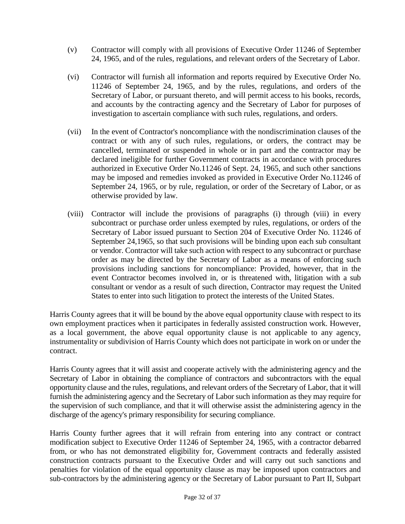- (v) Contractor will comply with all provisions of Executive Order 11246 of September 24, 1965, and of the rules, regulations, and relevant orders of the Secretary of Labor.
- (vi) Contractor will furnish all information and reports required by Executive Order No. 11246 of September 24, 1965, and by the rules, regulations, and orders of the Secretary of Labor, or pursuant thereto, and will permit access to his books, records, and accounts by the contracting agency and the Secretary of Labor for purposes of investigation to ascertain compliance with such rules, regulations, and orders.
- (vii) In the event of Contractor's noncompliance with the nondiscrimination clauses of the contract or with any of such rules, regulations, or orders, the contract may be cancelled, terminated or suspended in whole or in part and the contractor may be declared ineligible for further Government contracts in accordance with procedures authorized in Executive Order No.11246 of Sept. 24, 1965, and such other sanctions may be imposed and remedies invoked as provided in Executive Order No.11246 of September 24, 1965, or by rule, regulation, or order of the Secretary of Labor, or as otherwise provided by law.
- (viii) Contractor will include the provisions of paragraphs (i) through (viii) in every subcontract or purchase order unless exempted by rules, regulations, or orders of the Secretary of Labor issued pursuant to Section 204 of Executive Order No. 11246 of September 24,1965, so that such provisions will be binding upon each sub consultant or vendor. Contractor will take such action with respect to any subcontract or purchase order as may be directed by the Secretary of Labor as a means of enforcing such provisions including sanctions for noncompliance: Provided, however, that in the event Contractor becomes involved in, or is threatened with, litigation with a sub consultant or vendor as a result of such direction, Contractor may request the United States to enter into such litigation to protect the interests of the United States.

Harris County agrees that it will be bound by the above equal opportunity clause with respect to its own employment practices when it participates in federally assisted construction work. However, as a local government, the above equal opportunity clause is not applicable to any agency, instrumentality or subdivision of Harris County which does not participate in work on or under the contract.

Harris County agrees that it will assist and cooperate actively with the administering agency and the Secretary of Labor in obtaining the compliance of contractors and subcontractors with the equal opportunity clause and the rules, regulations, and relevant orders of the Secretary of Labor, that it will furnish the administering agency and the Secretary of Labor such information as they may require for the supervision of such compliance, and that it will otherwise assist the administering agency in the discharge of the agency's primary responsibility for securing compliance.

Harris County further agrees that it will refrain from entering into any contract or contract modification subject to Executive Order 11246 of September 24, 1965, with a contractor debarred from, or who has not demonstrated eligibility for, Government contracts and federally assisted construction contracts pursuant to the Executive Order and will carry out such sanctions and penalties for violation of the equal opportunity clause as may be imposed upon contractors and sub-contractors by the administering agency or the Secretary of Labor pursuant to Part II, Subpart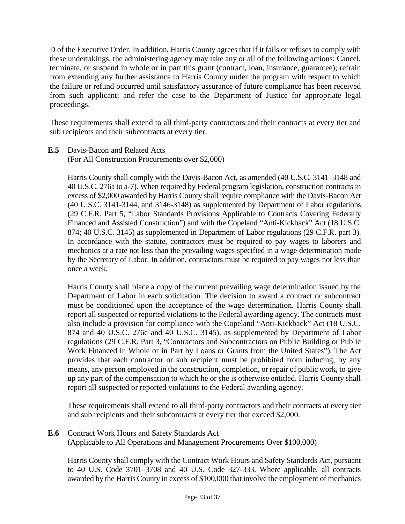D of the Executive Order. In addition, Harris County agrees that if it fails or refuses to comply with these undertakings, the administering agency may take any or all of the following actions: Cancel, terminate, or suspend in whole or in part this grant (contract, loan, insurance, guarantee); refrain from extending any further assistance to Harris County under the program with respect to which the failure or refund occurred until satisfactory assurance of future compliance has been received from such applicant; and refer the case to the Department of Justice for appropriate legal proceedings.

These requirements shall extend to all third-party contractors and their contracts at every tier and sub recipients and their subcontracts at every tier.

(For All Construction Procurements over \$2,000)

Harris County shall comply with the Davis-Bacon Act, as amended (40 U.S.C. 3141–3148 and 40 U.S.C. 276a to a-7). When required by Federal program legislation, construction contracts in excess of \$2,000 awarded by Harris County shall require compliance with the Davis-Bacon Act (40 U.S.C. 3141-3144, and 3146-3148) as supplemented by Department of Labor regulations (29 C.F.R. Part 5, "Labor Standards Provisions Applicable to Contracts Covering Federally Financed and Assisted Construction") and with the Copeland "Anti-Kickback" Act (18 U.S.C. 874; 40 U.S.C. 3145) as supplemented in Department of Labor regulations (29 C.F.R. part 3). In accordance with the statute, contractors must be required to pay wages to laborers and mechanics at a rate not less than the prevailing wages specified in a wage determination made by the Secretary of Labor. In addition, contractors must be required to pay wages not less than once a week.

Harris County shall place a copy of the current prevailing wage determination issued by the Department of Labor in each solicitation. The decision to award a contract or subcontract must be conditioned upon the acceptance of the wage determination. Harris County shall report all suspected or reported violations to the Federal awarding agency. The contracts must also include a provision for compliance with the Copeland "Anti-Kickback" Act (18 U.S.C. 874 and 40 U.S.C. 276c and 40 U.S.C. 3145), as supplemented by Department of Labor regulations (29 C.F.R. Part 3, "Contractors and Subcontractors on Public Building or Public Work Financed in Whole or in Part by Loans or Grants from the United States"). The Act provides that each contractor or sub recipient must be prohibited from inducing, by any means, any person employed in the construction, completion, or repair of public work, to give up any part of the compensation to which he or she is otherwise entitled. Harris County shall report all suspected or reported violations to the Federal awarding agency.

These requirements shall extend to all third-party contractors and their contracts at every tier and sub recipients and their subcontracts at every tier that exceed \$2,000.

**E.6** Contract Work Hours and Safety Standards Act (Applicable to All Operations and Management Procurements Over \$100,000)

Harris County shall comply with the Contract Work Hours and Safety Standards Act, pursuant to 40 U.S. Code 3701–3708 and 40 U.S. Code 327-333. Where applicable, all contracts awarded by the Harris County in excess of \$100,000 that involve the employment of mechanics

**E.5** Davis-Bacon and Related Acts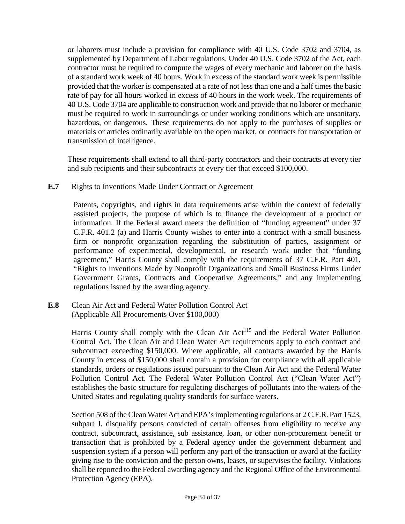or laborers must include a provision for compliance with 40 U.S. Code 3702 and 3704, as supplemented by Department of Labor regulations. Under 40 U.S. Code 3702 of the Act, each contractor must be required to compute the wages of every mechanic and laborer on the basis of a standard work week of 40 hours. Work in excess of the standard work week is permissible provided that the worker is compensated at a rate of not less than one and a half times the basic rate of pay for all hours worked in excess of 40 hours in the work week. The requirements of 40 U.S. Code 3704 are applicable to construction work and provide that no laborer or mechanic must be required to work in surroundings or under working conditions which are unsanitary, hazardous, or dangerous. These requirements do not apply to the purchases of supplies or materials or articles ordinarily available on the open market, or contracts for transportation or transmission of intelligence.

These requirements shall extend to all third-party contractors and their contracts at every tier and sub recipients and their subcontracts at every tier that exceed \$100,000.

**E.7** Rights to Inventions Made Under Contract or Agreement

Patents, copyrights, and rights in data requirements arise within the context of federally assisted projects, the purpose of which is to finance the development of a product or information. If the Federal award meets the definition of "funding agreement" under 37 C.F.R. 401.2 (a) and Harris County wishes to enter into a contract with a small business firm or nonprofit organization regarding the substitution of parties, assignment or performance of experimental, developmental, or research work under that "funding agreement," Harris County shall comply with the requirements of 37 C.F.R. Part 401, "Rights to Inventions Made by Nonprofit Organizations and Small Business Firms Under Government Grants, Contracts and Cooperative Agreements," and any implementing regulations issued by the awarding agency.

**E.8** Clean Air Act and Federal Water Pollution Control Act (Applicable All Procurements Over \$100,000)

> Harris County shall comply with the Clean Air  $Act^{115}$  and the Federal Water Pollution Control Act. The Clean Air and Clean Water Act requirements apply to each contract and subcontract exceeding \$150,000. Where applicable, all contracts awarded by the Harris County in excess of \$150,000 shall contain a provision for compliance with all applicable standards, orders or regulations issued pursuant to the Clean Air Act and the Federal Water Pollution Control Act. The Federal Water Pollution Control Act ("Clean Water Act") establishes the basic structure for regulating discharges of pollutants into the waters of the United States and regulating quality standards for surface waters.

> Section 508 of the Clean Water Act and EPA's implementing regulations at 2 C.F.R. Part 1523, subpart J, disqualify persons convicted of certain offenses from eligibility to receive any contract, subcontract, assistance, sub assistance, loan, or other non-procurement benefit or transaction that is prohibited by a Federal agency under the government debarment and suspension system if a person will perform any part of the transaction or award at the facility giving rise to the conviction and the person owns, leases, or supervises the facility. Violations shall be reported to the Federal awarding agency and the Regional Office of the Environmental Protection Agency (EPA).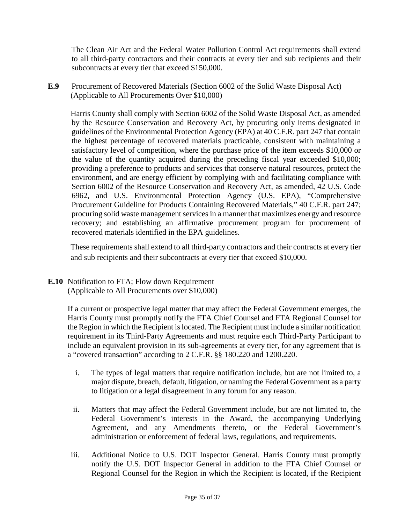The Clean Air Act and the Federal Water Pollution Control Act requirements shall extend to all third-party contractors and their contracts at every tier and sub recipients and their subcontracts at every tier that exceed \$150,000.

**E.9** Procurement of Recovered Materials (Section 6002 of the Solid Waste Disposal Act) (Applicable to All Procurements Over \$10,000)

Harris County shall comply with Section 6002 of the Solid Waste Disposal Act, as amended by the Resource Conservation and Recovery Act, by procuring only items designated in guidelines of the Environmental Protection Agency (EPA) at 40 C.F.R. part 247 that contain the highest percentage of recovered materials practicable, consistent with maintaining a satisfactory level of competition, where the purchase price of the item exceeds \$10,000 or the value of the quantity acquired during the preceding fiscal year exceeded \$10,000; providing a preference to products and services that conserve natural resources, protect the environment, and are energy efficient by complying with and facilitating compliance with Section 6002 of the Resource Conservation and Recovery Act, as amended, 42 U.S. Code 6962, and U.S. Environmental Protection Agency (U.S. EPA), "Comprehensive Procurement Guideline for Products Containing Recovered Materials," 40 C.F.R. part 247; procuring solid waste management services in a manner that maximizes energy and resource recovery; and establishing an affirmative procurement program for procurement of recovered materials identified in the EPA guidelines.

These requirements shall extend to all third-party contractors and their contracts at every tier and sub recipients and their subcontracts at every tier that exceed \$10,000.

**E.10** Notification to FTA; Flow down Requirement (Applicable to All Procurements over \$10,000)

> If a current or prospective legal matter that may affect the Federal Government emerges, the Harris County must promptly notify the FTA Chief Counsel and FTA Regional Counsel for the Region in which the Recipient is located. The Recipient must include a similar notification requirement in its Third-Party Agreements and must require each Third-Party Participant to include an equivalent provision in its sub-agreements at every tier, for any agreement that is a "covered transaction" according to 2 C.F.R. §§ 180.220 and 1200.220.

- i. The types of legal matters that require notification include, but are not limited to, a major dispute, breach, default, litigation, or naming the Federal Government as a party to litigation or a legal disagreement in any forum for any reason.
- ii. Matters that may affect the Federal Government include, but are not limited to, the Federal Government's interests in the Award, the accompanying Underlying Agreement, and any Amendments thereto, or the Federal Government's administration or enforcement of federal laws, regulations, and requirements.
- iii. Additional Notice to U.S. DOT Inspector General. Harris County must promptly notify the U.S. DOT Inspector General in addition to the FTA Chief Counsel or Regional Counsel for the Region in which the Recipient is located, if the Recipient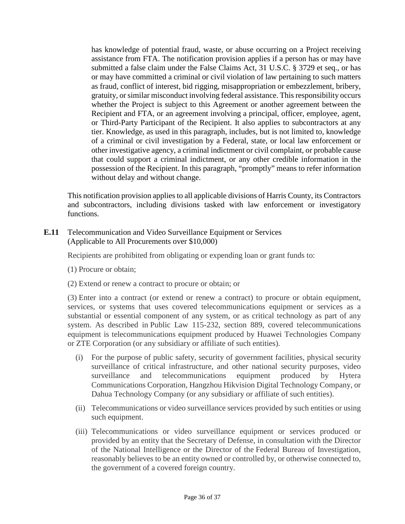has knowledge of potential fraud, waste, or abuse occurring on a Project receiving assistance from FTA. The notification provision applies if a person has or may have submitted a false claim under the False Claims Act, 31 U.S.C. § 3729 et seq., or has or may have committed a criminal or civil violation of law pertaining to such matters as fraud, conflict of interest, bid rigging, misappropriation or embezzlement, bribery, gratuity, or similar misconduct involving federal assistance. This responsibility occurs whether the Project is subject to this Agreement or another agreement between the Recipient and FTA, or an agreement involving a principal, officer, employee, agent, or Third-Party Participant of the Recipient. It also applies to subcontractors at any tier. Knowledge, as used in this paragraph, includes, but is not limited to, knowledge of a criminal or civil investigation by a Federal, state, or local law enforcement or other investigative agency, a criminal indictment or civil complaint, or probable cause that could support a criminal indictment, or any other credible information in the possession of the Recipient. In this paragraph, "promptly" means to refer information without delay and without change.

This notification provision applies to all applicable divisions of Harris County, its Contractors and subcontractors, including divisions tasked with law enforcement or investigatory functions.

**E.11** Telecommunication and Video Surveillance Equipment or Services (Applicable to All Procurements over \$10,000)

Recipients are prohibited from obligating or expending loan or grant funds to:

- (1) Procure or obtain;
- (2) Extend or renew a contract to procure or obtain; or

(3) Enter into a contract (or extend or renew a contract) to procure or obtain equipment, services, or systems that uses covered telecommunications equipment or services as a substantial or essential component of any system, or as critical technology as part of any system. As described in Public Law 115-232, section 889, covered telecommunications equipment is telecommunications equipment produced by Huawei Technologies Company or ZTE Corporation (or any subsidiary or affiliate of such entities).

- (i) For the purpose of public safety, security of government facilities, physical security surveillance of critical infrastructure, and other national security purposes, video surveillance and telecommunications equipment produced by Hytera Communications Corporation, Hangzhou Hikvision Digital Technology Company, or Dahua Technology Company (or any subsidiary or affiliate of such entities).
- (ii) Telecommunications or video surveillance services provided by such entities or using such equipment.
- (iii) Telecommunications or video surveillance equipment or services produced or provided by an entity that the Secretary of Defense, in consultation with the Director of the National Intelligence or the Director of the Federal Bureau of Investigation, reasonably believes to be an entity owned or controlled by, or otherwise connected to, the government of a covered foreign country.